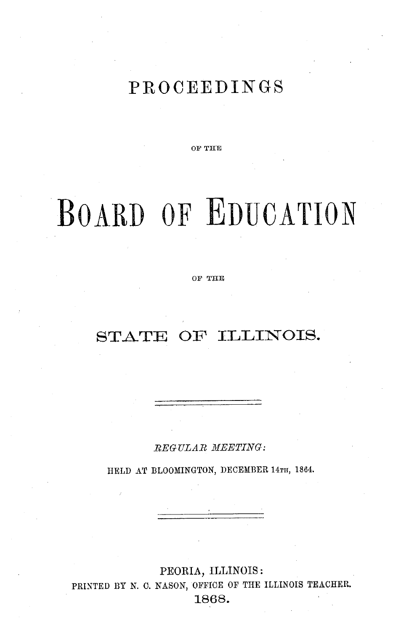# **PROCEEDINGS**

**OF THE**

# BOARD OF EDUCATION

**OF THE**

# STATE OF ILLINOIS.

*REGULAR MEETING:*

HELD AT BLOOMINGTON, DECEMBER 14TH, 1864.

PRINTED BY *N.* C. NASON, OFFICE OF THE ILLINOIS TEACHER. PEORIA, ILLINOIS: 1868.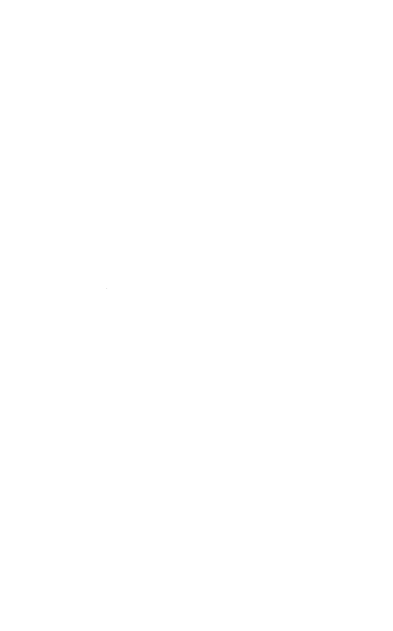$\mathcal{L}^{\text{max}}_{\text{max}}$  and  $\mathcal{L}^{\text{max}}_{\text{max}}$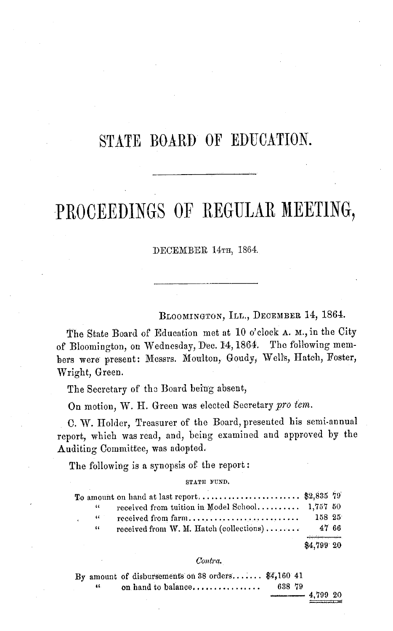# STATE BOARD OF EDUCATION.

# PROCEEDINGS OF REGULAR MEETING,

# DECEMBER **14TH,** 1864.

BLOOMINGTON, ILL., DECEMBER 14, 1864.

The State Board of Education met at 10 o'clock A. M., in the City of Bloomington, on Wednesday, Dec. 14,1864. The following members were present: Messrs. Moulton, Goudy, Wells, Hatch, Foster, Wright, Green.

The Secretary of the Board being absent,

On motion, W. H. Green was elected Secretary pro *tern.*

C. W. Holder, Treasurer of the Board, presented his semi-annual report, which was read, and, being examined and approved by the Auditing Committee, was adopted.

The following is a synopsis of the report:

STATE FUND.

| $\epsilon$   | received from tuition in Model School 1,757 50 |                                                                |  |
|--------------|------------------------------------------------|----------------------------------------------------------------|--|
| - 66 - 7     | received from farm                             | 158 25                                                         |  |
| $\mathbf{u}$ | received from $W$ . M. Hatch (collections)     | 4766                                                           |  |
|              |                                                | and and chance and provided and the contract of<br>$$4.799$ 20 |  |

### *Contra.*

|  | By amount of disbursements on 38 orders \$4,160 41 |              |  |
|--|----------------------------------------------------|--------------|--|
|  | on hand to balance                                 | 638 79       |  |
|  |                                                    | $-$ 4,799 20 |  |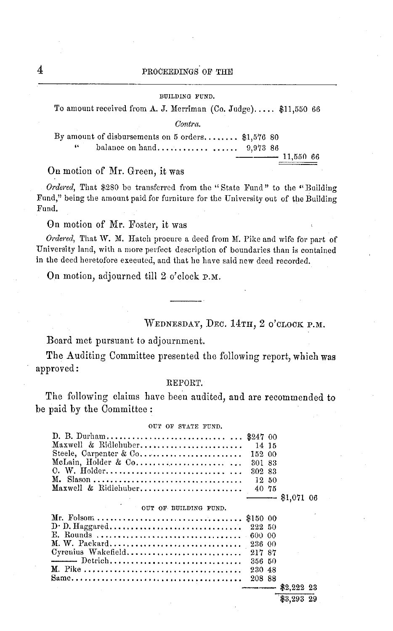#### BUILDING FUND.

To amount received from A. J. Merriman (Co. Judge)..... \$11,550 66

*Contra.*

By amount of disbursements on 5 orders........ \$1,576 80 " balance on hand .................. 9,973 86 - ----- 11,550 66

## On motion of Mr. Green, it was

*Ordered,* That \$280 be transferred from the "State Fund" to the "Building Fund," being the amount paid for furniture for the University out of the Building Fund.

On motion of Mr. Foster, it was

*Ordered,* That W. M. Hatch procure a deed from M. Pike and wife for part of University land, with a more perfect description of boundaries than is contained in the deed heretofore executed, and that he have said new deed recorded.

On motion, adjourned till 2 o'clock P.M.

WEDNESDAY, DEC. **14TH,** 2 O'CLOCK P.M.

Board met pursuant to adjournment.

The Auditing Committee presented the following report, which was approved:

### REPORT.

The following claims have been audited, and are recommended to be paid by the Committee:

| 14 15<br>152 00<br>301 83<br>302 83<br>$12-50$<br>40 75<br>$-$ \$1,071 06<br>OUT OF BUILDING FUND.                                 |         |    |
|------------------------------------------------------------------------------------------------------------------------------------|---------|----|
| Maxwell & Ridlehuber<br>Steele, Carpenter & Co<br>McLain, Holder & Co<br>M. Slason<br>Maxwell & Ridlehuber<br>Mr. Folsom  \$150 00 |         |    |
|                                                                                                                                    |         |    |
|                                                                                                                                    |         |    |
|                                                                                                                                    |         |    |
|                                                                                                                                    |         |    |
|                                                                                                                                    |         |    |
|                                                                                                                                    |         |    |
|                                                                                                                                    |         |    |
|                                                                                                                                    |         |    |
|                                                                                                                                    |         |    |
|                                                                                                                                    |         |    |
| 600 00                                                                                                                             |         |    |
|                                                                                                                                    |         |    |
| Cyrenius Wakefield<br>217 87                                                                                                       |         |    |
| 356 50                                                                                                                             |         |    |
| 230 48                                                                                                                             |         |    |
| 208 88                                                                                                                             |         |    |
|                                                                                                                                    | \$2.222 | 23 |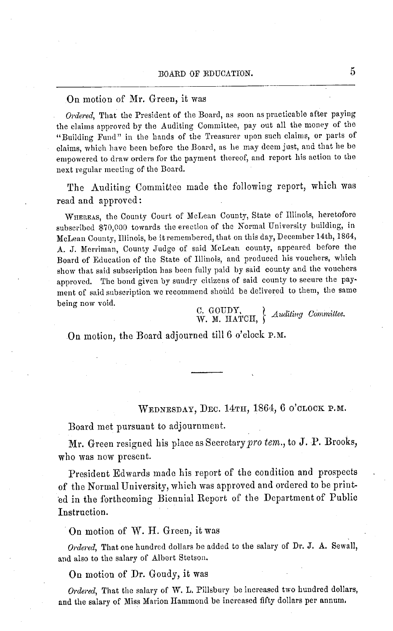# On motion of Mr. Green, it was

*Ordered,* That the President of the Board, as soon as practicable after paying the claims approved by the Auditing Committee, pay out all the money of the "Building Fund" in the hands of the Treasurer upon such claims, or parts of claims, which have been before the Board, as he may deem just, and that he be empowered to draw orders for the payment thereof, and report his action to the next regular meeting of the Board.

The Auditing Committee made the following report, which was read and approved:

WHEREAS, the County Court of McLean County, State of Illinois, heretofore subscribed \$70,000 towards the erection of the Normal University building, in McLean County, Illinois, be it remembered, that on this day, December 14th, 1864, A. J. Merriman, County Judge of said McLean county, appeared before the Board of Education of the State of Illinois, and produced his vouchers, which show that said subscription has been fully paid by said county and the vouchers approved. The bond given by sundry citizens of said county to secure the payment of said subscription we recommend should be delivered to them, the same being now void.

C. GOUDY,  $\{W. M. HATCH, \}$  Auditing Committee.

On motion, the Board adjourned till 6 o'clock P.M.

# WEDNESDAY, DEC. 14TH, 1864, 6 O'CLOCK P.M.

Board met pursuant to adjournment.

Mr. Green resigned his place as Secretary pro *tern., to* J. P. Brooks, who was now present.

President Edwards made his report of the condition and prospects of the Normal University, which was approved and ordered to be print. ed in the forthcoming Biennial Report of the Department of Public Instruction.

On motion of W. H. Green, it was

*Ordered,* That one hundred dollars be added to the salary of Dr. J. A. Sewall, and also to the salary of Albert Stetson.

On motion of Dr. Goudy, it was

*Ordered,* That the salary of W. L. Pillsbury be increased two hundred dollars, and the salary of Miss Marion Hammond be increased fifty dollars per annum,